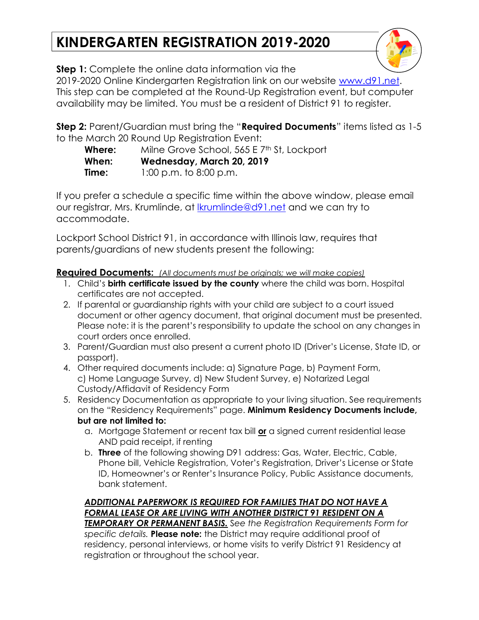## KINDERGARTEN REGISTRATION 2019-2020



**Step 1:** Complete the online data information via the

2019-2020 Online Kindergarten Registration link on our website www.d91.net. This step can be completed at the Round-Up Registration event, but computer availability may be limited. You must be a resident of District 91 to register.

Step 2: Parent/Guardian must bring the "Required Documents" items listed as 1-5 to the March 20 Round Up Registration Event:

When: Wednesday, March 20, 2019

**Time:** 1:00 p.m. to 8:00 p.m.

If you prefer a schedule a specific time within the above window, please email our registrar, Mrs. Krumlinde, at lkrumlinde@d91.net and we can try to accommodate.

Lockport School District 91, in accordance with Illinois law, requires that parents/guardians of new students present the following:

## **Required Documents:** (All documents must be originals; we will make copies)

- 1. Child's birth certificate issued by the county where the child was born. Hospital certificates are not accepted.
- 2. If parental or guardianship rights with your child are subject to a court issued document or other agency document, that original document must be presented. Please note: it is the parent's responsibility to update the school on any changes in court orders once enrolled.
- 3. Parent/Guardian must also present a current photo ID (Driver's License, State ID, or passport).
- 4. Other required documents include: a) Signature Page, b) Payment Form, c) Home Language Survey, d) New Student Survey, e) Notarized Legal Custody/Affidavit of Residency Form
- 5. Residency Documentation as appropriate to your living situation. See requirements on the "Residency Requirements" page. Minimum Residency Documents include, but are not limited to:
	- a. Mortgage Statement or recent tax bill or a signed current residential lease AND paid receipt, if renting
	- b. **Three** of the following showing D91 address: Gas, Water, Electric, Cable, Phone bill, Vehicle Registration, Voter's Registration, Driver's License or State ID, Homeowner's or Renter's Insurance Policy, Public Assistance documents, bank statement.

## ADDITIONAL PAPERWORK IS REQUIRED FOR FAMILIES THAT DO NOT HAVE A FORMAL LEASE OR ARE LIVING WITH ANOTHER DISTRICT 91 RESIDENT ON A

**TEMPORARY OR PERMANENT BASIS.** See the Registration Requirements Form for specific details. Please note: the District may require additional proof of residency, personal interviews, or home visits to verify District 91 Residency at registration or throughout the school year.